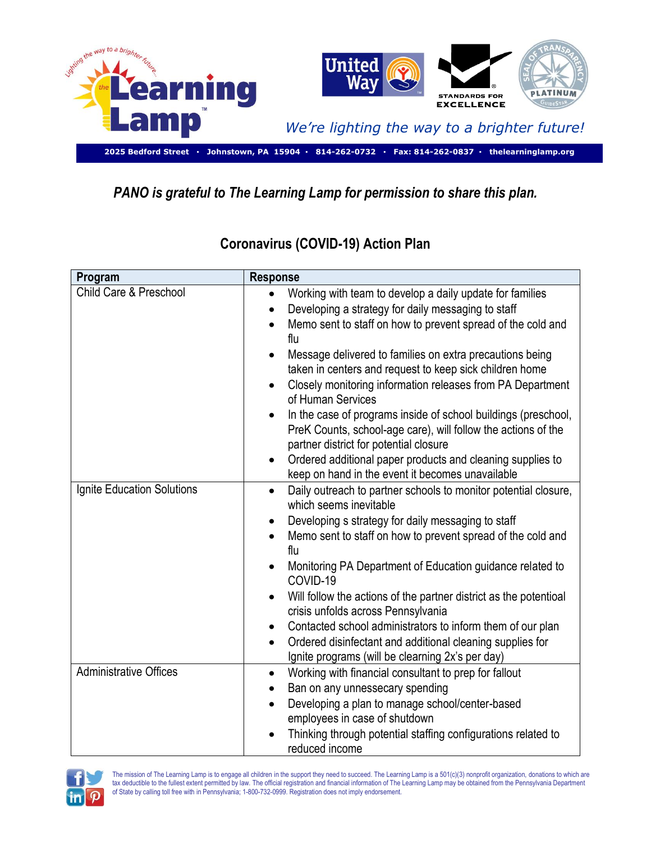

## *PANO is grateful to The Learning Lamp for permission to share this plan.*

| Program                           | <b>Response</b>                                                                                                                                                                                                                                                                                                                                                                                                                                                                                                                                                                                                                                                |
|-----------------------------------|----------------------------------------------------------------------------------------------------------------------------------------------------------------------------------------------------------------------------------------------------------------------------------------------------------------------------------------------------------------------------------------------------------------------------------------------------------------------------------------------------------------------------------------------------------------------------------------------------------------------------------------------------------------|
| <b>Child Care &amp; Preschool</b> | Working with team to develop a daily update for families<br>$\bullet$<br>Developing a strategy for daily messaging to staff<br>$\bullet$<br>Memo sent to staff on how to prevent spread of the cold and<br>$\bullet$<br>flu<br>Message delivered to families on extra precautions being<br>$\bullet$<br>taken in centers and request to keep sick children home<br>Closely monitoring information releases from PA Department<br>$\bullet$<br>of Human Services<br>In the case of programs inside of school buildings (preschool,<br>$\bullet$                                                                                                                 |
|                                   | PreK Counts, school-age care), will follow the actions of the<br>partner district for potential closure<br>Ordered additional paper products and cleaning supplies to<br>$\bullet$<br>keep on hand in the event it becomes unavailable                                                                                                                                                                                                                                                                                                                                                                                                                         |
| Ignite Education Solutions        | Daily outreach to partner schools to monitor potential closure,<br>$\bullet$<br>which seems inevitable<br>Developing s strategy for daily messaging to staff<br>$\bullet$<br>Memo sent to staff on how to prevent spread of the cold and<br>flu<br>Monitoring PA Department of Education guidance related to<br>$\bullet$<br>COVID-19<br>Will follow the actions of the partner district as the potentioal<br>$\bullet$<br>crisis unfolds across Pennsylvania<br>Contacted school administrators to inform them of our plan<br>٠<br>Ordered disinfectant and additional cleaning supplies for<br>$\bullet$<br>Ignite programs (will be clearning 2x's per day) |
| <b>Administrative Offices</b>     | Working with financial consultant to prep for fallout<br>$\bullet$<br>Ban on any unnessecary spending<br>$\bullet$<br>Developing a plan to manage school/center-based<br>employees in case of shutdown<br>Thinking through potential staffing configurations related to<br>$\bullet$<br>reduced income                                                                                                                                                                                                                                                                                                                                                         |

## **Coronavirus (COVID-19) Action Plan**



The mission of The Learning Lamp is to engage all children in the support they need to succeed. The Learning Lamp is a 501(c)(3) nonprofit organization, donations to which are tax deductible to the fullest extent permitted by law. The official registration and financial information of The Learning Lamp may be obtained from the Pennsylvania Department of State by calling toll free with in Pennsylvania; 1-800-732-0999. Registration does not imply endorsement.